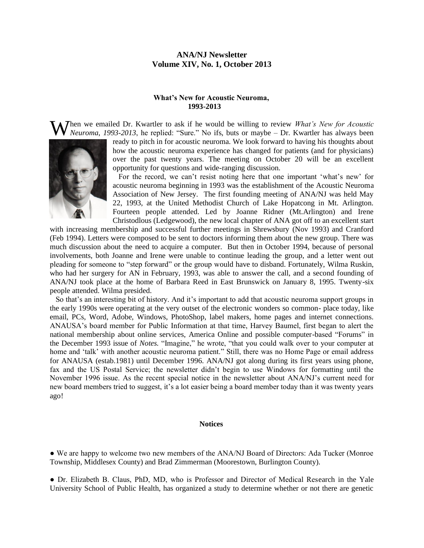## **ANA/NJ Newsletter Volume XIV, No. 1, October 2013**

#### **What's New for Acoustic Neuroma, 1993-2013**

**W** hen we emailed Dr. Kwartler to ask if he would be willing to review *What's New for Acoustic Neuroma, 1993-2013*, he replied: "Sure." No ifs, buts or maybe – Dr. Kwartler has always been *Neuroma*, *1993-2013*, he replied: "Sure." No ifs, buts or maybe – Dr. Kwartler has always been



ready to pitch in for acoustic neuroma. We look forward to having his thoughts about how the acoustic neuroma experience has changed for patients (and for physicians) over the past twenty years. The meeting on October 20 will be an excellent opportunity for questions and wide-ranging discussion.

 For the record, we can't resist noting here that one important 'what's new' for acoustic neuroma beginning in 1993 was the establishment of the Acoustic Neuroma Association of New Jersey. The first founding meeting of ANA/NJ was held May 22, 1993, at the United Methodist Church of Lake Hopatcong in Mt. Arlington. Fourteen people attended. Led by Joanne Ridner (Mt.Arlington) and Irene Christodlous (Ledgewood), the new local chapter of ANA got off to an excellent start

with increasing membership and successful further meetings in Shrewsbury (Nov 1993) and Cranford (Feb 1994). Letters were composed to be sent to doctors informing them about the new group. There was much discussion about the need to acquire a computer. But then in October 1994, because of personal involvements, both Joanne and Irene were unable to continue leading the group, and a letter went out pleading for someone to "step forward" or the group would have to disband. Fortunately, Wilma Ruskin, who had her surgery for AN in February, 1993, was able to answer the call, and a second founding of ANA/NJ took place at the home of Barbara Reed in East Brunswick on January 8, 1995. Twenty-six people attended. Wilma presided.

 So that's an interesting bit of history. And it's important to add that acoustic neuroma support groups in the early 1990s were operating at the very outset of the electronic wonders so common- place today, like email, PCs, Word, Adobe, Windows, PhotoShop, label makers, home pages and internet connections. ANAUSA's board member for Public Information at that time, Harvey Baumel, first began to alert the national membership about online services, America Online and possible computer-based "Forums" in the December 1993 issue of *Notes.* "Imagine," he wrote, "that you could walk over to your computer at home and 'talk' with another acoustic neuroma patient." Still, there was no Home Page or email address for ANAUSA (estab.1981) until December 1996. ANA/NJ got along during its first years using phone, fax and the US Postal Service; the newsletter didn't begin to use Windows for formatting until the November 1996 issue. As the recent special notice in the newsletter about ANA/NJ's current need for new board members tried to suggest, it's a lot easier being a board member today than it was twenty years ago!

#### **Notices**

• We are happy to welcome two new members of the ANA/NJ Board of Directors: Ada Tucker (Monroe) Township, Middlesex County) and Brad Zimmerman (Moorestown, Burlington County).

● Dr. Elizabeth B. Claus, PhD, MD, who is Professor and Director of Medical Research in the Yale University School of Public Health, has organized a study to determine whether or not there are genetic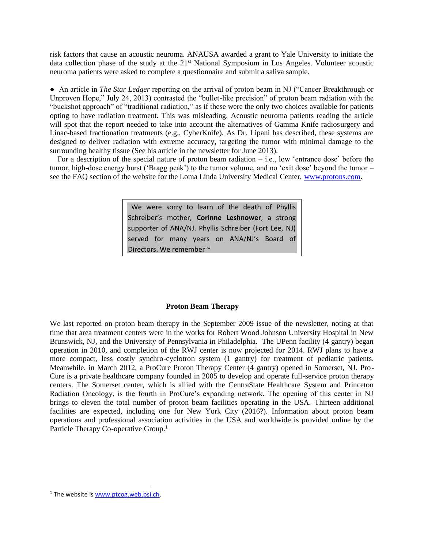risk factors that cause an acoustic neuroma. ANAUSA awarded a grant to Yale University to initiate the data collection phase of the study at the 21<sup>st</sup> National Symposium in Los Angeles. Volunteer acoustic neuroma patients were asked to complete a questionnaire and submit a saliva sample.

● An article in *The Star Ledger* reporting on the arrival of proton beam in NJ ("Cancer Breakthrough or Unproven Hope," July 24, 2013) contrasted the "bullet-like precision" of proton beam radiation with the "buckshot approach" of "traditional radiation," as if these were the only two choices available for patients opting to have radiation treatment. This was misleading. Acoustic neuroma patients reading the article will spot that the report needed to take into account the alternatives of Gamma Knife radiosurgery and Linac-based fractionation treatments (e.g., CyberKnife). As Dr. Lipani has described, these systems are designed to deliver radiation with extreme accuracy, targeting the tumor with minimal damage to the surrounding healthy tissue (See his article in the newsletter for June 2013).

 For a description of the special nature of proton beam radiation – i.e., low 'entrance dose' before the tumor, high-dose energy burst ('Bragg peak') to the tumor volume, and no 'exit dose' beyond the tumor – see the FAQ section of the website for the Loma Linda University Medical Center, [www.protons.com.](http://www.protons.com/)

> We were sorry to learn of the death of Phyllis Schreiber's mother, **Corinne Leshnower**, a strong supporter of ANA/NJ. Phyllis Schreiber (Fort Lee, NJ) served for many years on ANA/NJ's Board of Directors. We remember ~

## **Proton Beam Therapy**

We last reported on proton beam therapy in the September 2009 issue of the newsletter, noting at that time that area treatment centers were in the works for Robert Wood Johnson University Hospital in New Brunswick, NJ, and the University of Pennsylvania in Philadelphia. The UPenn facility (4 gantry) began operation in 2010, and completion of the RWJ center is now projected for 2014. RWJ plans to have a more compact, less costly synchro-cyclotron system (1 gantry) for treatment of pediatric patients. Meanwhile, in March 2012, a ProCure Proton Therapy Center (4 gantry) opened in Somerset, NJ. Pro-Cure is a private healthcare company founded in 2005 to develop and operate full-service proton therapy centers. The Somerset center, which is allied with the CentraState Healthcare System and Princeton Radiation Oncology, is the fourth in ProCure's expanding network. The opening of this center in NJ brings to eleven the total number of proton beam facilities operating in the USA. Thirteen additional facilities are expected, including one for New York City (2016?). Information about proton beam operations and professional association activities in the USA and worldwide is provided online by the Particle Therapy Co-operative Group.<sup>1</sup>

l

 $1$  The website i[s www.ptcog.web.psi.ch.](http://www.ptcog.web.psi.ch/)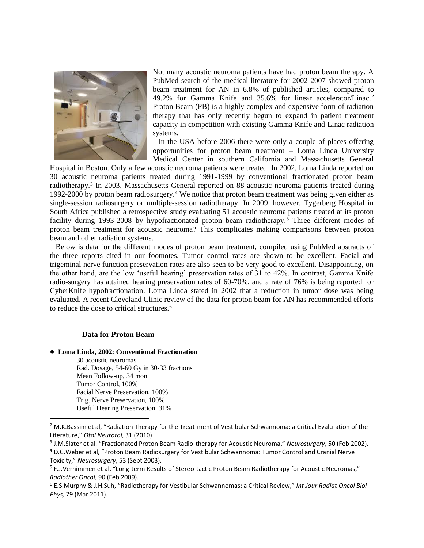

Not many acoustic neuroma patients have had proton beam therapy. A PubMed search of the medical literature for 2002-2007 showed proton beam treatment for AN in 6.8% of published articles, compared to 49.2% for Gamma Knife and 35.6% for linear accelerator/Linac.<sup>2</sup> Proton Beam (PB) is a highly complex and expensive form of radiation therapy that has only recently begun to expand in patient treatment capacity in competition with existing Gamma Knife and Linac radiation systems.

 In the USA before 2006 there were only a couple of places offering opportunities for proton beam treatment – Loma Linda University Medical Center in southern California and Massachusetts General

Hospital in Boston. Only a few acoustic neuroma patients were treated. In 2002, Loma Linda reported on 30 acoustic neuroma patients treated during 1991-1999 by conventional fractionated proton beam radiotherapy.<sup>3</sup> In 2003, Massachusetts General reported on 88 acoustic neuroma patients treated during 1992-2000 by proton beam radiosurgery.<sup>4</sup> We notice that proton beam treatment was being given either as single-session radiosurgery or multiple-session radiotherapy. In 2009, however, Tygerberg Hospital in South Africa published a retrospective study evaluating 51 acoustic neuroma patients treated at its proton facility during 1993-2008 by hypofractionated proton beam radiotherapy.<sup>5</sup> Three different modes of proton beam treatment for acoustic neuroma? This complicates making comparisons between proton beam and other radiation systems.

 Below is data for the different modes of proton beam treatment, compiled using PubMed abstracts of the three reports cited in our footnotes. Tumor control rates are shown to be excellent. Facial and trigeminal nerve function preservation rates are also seen to be very good to excellent. Disappointing, on the other hand, are the low 'useful hearing' preservation rates of 31 to 42%. In contrast, Gamma Knife radio-surgery has attained hearing preservation rates of 60-70%, and a rate of 76% is being reported for CyberKnife hypofractionation. Loma Linda stated in 2002 that a reduction in tumor dose was being evaluated. A recent Cleveland Clinic review of the data for proton beam for AN has recommended efforts to reduce the dose to critical structures.<sup>6</sup>

#### **Data for Proton Beam**

● **Loma Linda, 2002: Conventional Fractionation** 30 acoustic neuromas Rad. Dosage, 54-60 Gy in 30-33 fractions Mean Follow-up, 34 mon Tumor Control, 100% Facial Nerve Preservation, 100% Trig. Nerve Preservation, 100% Useful Hearing Preservation, 31%

 $\overline{a}$ 

<sup>&</sup>lt;sup>2</sup> M.K.Bassim et al, "Radiation Therapy for the Treat-ment of Vestibular Schwannoma: a Critical Evalu-ation of the Literature," *Otol Neurotol*, 31 (2010).

<sup>3</sup> J.M.Slater et al. "Fractionated Proton Beam Radio-therapy for Acoustic Neuroma," *Neurosurgery*, 50 (Feb 2002).

<sup>4</sup> D.C.Weber et al, "Proton Beam Radiosurgery for Vestibular Schwannoma: Tumor Control and Cranial Nerve Toxicity," *Neurosurgery*, 53 (Sept 2003).

<sup>&</sup>lt;sup>5</sup> F.J.Vernimmen et al, "Long-term Results of Stereo-tactic Proton Beam Radiotherapy for Acoustic Neuromas," *Radiother Oncol*, 90 (Feb 2009).

<sup>6</sup> E.S.Murphy & J.H.Suh, "Radiotherapy for Vestibular Schwannomas: a Critical Review," *Int Jour Radiat Oncol Biol Phys,* 79 (Mar 2011).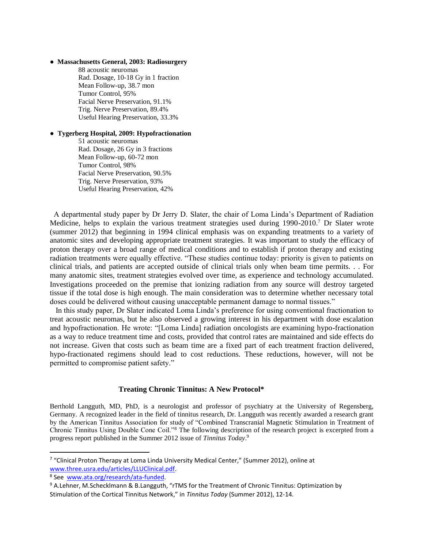#### ● **Massachusetts General, 2003: Radiosurgery**

88 acoustic neuromas Rad. Dosage, 10-18 Gy in 1 fraction Mean Follow-up, 38.7 mon Tumor Control, 95% Facial Nerve Preservation, 91.1% Trig. Nerve Preservation, 89.4% Useful Hearing Preservation, 33.3%

#### ● **Tygerberg Hospital, 2009: Hypofractionation**

51 acoustic neuromas Rad. Dosage, 26 Gy in 3 fractions Mean Follow-up, 60-72 mon Tumor Control, 98% Facial Nerve Preservation, 90.5% Trig. Nerve Preservation, 93% Useful Hearing Preservation, 42%

 A departmental study paper by Dr Jerry D. Slater, the chair of Loma Linda's Department of Radiation Medicine, helps to explain the various treatment strategies used during  $1990-2010$ .<sup>7</sup> Dr Slater wrote (summer 2012) that beginning in 1994 clinical emphasis was on expanding treatments to a variety of anatomic sites and developing appropriate treatment strategies. It was important to study the efficacy of proton therapy over a broad range of medical conditions and to establish if proton therapy and existing radiation treatments were equally effective. "These studies continue today: priority is given to patients on clinical trials, and patients are accepted outside of clinical trials only when beam time permits. . . For many anatomic sites, treatment strategies evolved over time, as experience and technology accumulated. Investigations proceeded on the premise that ionizing radiation from any source will destroy targeted tissue if the total dose is high enough. The main consideration was to determine whether necessary total doses could be delivered without causing unacceptable permanent damage to normal tissues."

 In this study paper, Dr Slater indicated Loma Linda's preference for using conventional fractionation to treat acoustic neuromas, but he also observed a growing interest in his department with dose escalation and hypofractionation. He wrote: "[Loma Linda] radiation oncologists are examining hypo-fractionation as a way to reduce treatment time and costs, provided that control rates are maintained and side effects do not increase. Given that costs such as beam time are a fixed part of each treatment fraction delivered, hypo-fractionated regimens should lead to cost reductions. These reductions, however, will not be permitted to compromise patient safety."

#### **Treating Chronic Tinnitus: A New Protocol\***

Berthold Langguth, MD, PhD, is a neurologist and professor of psychiatry at the University of Regensberg, Germany. A recognized leader in the field of tinnitus research, Dr. Langguth was recently awarded a research grant by the American Tinnitus Association for study of "Combined Transcranial Magnetic Stimulation in Treatment of Chronic Tinnitus Using Double Cone Coil."<sup>8</sup> The following description of the research project is excerpted from a progress report published in the Summer 2012 issue of *Tinnitus Today*. 9

l

<sup>&</sup>lt;sup>7</sup> "Clinical Proton Therapy at Loma Linda University Medical Center," (Summer 2012), online at [www.three.usra.edu/articles/LLUClinical.pdf.](http://www.three.usra.edu/articles/LLUClinical.pdf)

<sup>&</sup>lt;sup>8</sup> See [www.ata.org/research/ata-funded.](http://www.ata.org/research/ata-funded)

<sup>&</sup>lt;sup>9</sup> A.Lehner, M.Schecklmann & B.Langguth, "rTMS for the Treatment of Chronic Tinnitus: Optimization by Stimulation of the Cortical Tinnitus Network," in *Tinnitus Today* (Summer 2012), 12-14.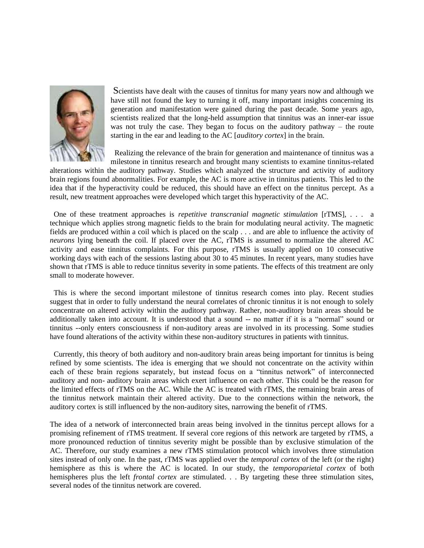

Scientists have dealt with the causes of tinnitus for many years now and although we have still not found the key to turning it off, many important insights concerning its generation and manifestation were gained during the past decade. Some years ago, scientists realized that the long-held assumption that tinnitus was an inner-ear issue was not truly the case. They began to focus on the auditory pathway – the route starting in the ear and leading to the AC [*auditory cortex*] in the brain.

 Realizing the relevance of the brain for generation and maintenance of tinnitus was a milestone in tinnitus research and brought many scientists to examine tinnitus-related

alterations within the auditory pathway. Studies which analyzed the structure and activity of auditory brain regions found abnormalities. For example, the AC is more active in tinnitus patients. This led to the idea that if the hyperactivity could be reduced, this should have an effect on the tinnitus percept. As a result, new treatment approaches were developed which target this hyperactivity of the AC.

 One of these treatment approaches is *repetitive transcranial magnetic stimulation* [rTMS], . . . a technique which applies strong magnetic fields to the brain for modulating neural activity. The magnetic fields are produced within a coil which is placed on the scalp . . . and are able to influence the activity of *neurons* lying beneath the coil. If placed over the AC, rTMS is assumed to normalize the altered AC activity and ease tinnitus complaints. For this purpose, rTMS is usually applied on 10 consecutive working days with each of the sessions lasting about 30 to 45 minutes. In recent years, many studies have shown that rTMS is able to reduce tinnitus severity in some patients. The effects of this treatment are only small to moderate however.

 This is where the second important milestone of tinnitus research comes into play. Recent studies suggest that in order to fully understand the neural correlates of chronic tinnitus it is not enough to solely concentrate on altered activity within the auditory pathway. Rather, non-auditory brain areas should be additionally taken into account. It is understood that a sound -- no matter if it is a "normal" sound or tinnitus --only enters consciousness if non-auditory areas are involved in its processing. Some studies have found alterations of the activity within these non-auditory structures in patients with tinnitus.

 Currently, this theory of both auditory and non-auditory brain areas being important for tinnitus is being refined by some scientists. The idea is emerging that we should not concentrate on the activity within each of these brain regions separately, but instead focus on a "tinnitus network" of interconnected auditory and non- auditory brain areas which exert influence on each other. This could be the reason for the limited effects of rTMS on the AC. While the AC is treated with rTMS, the remaining brain areas of the tinnitus network maintain their altered activity. Due to the connections within the network, the auditory cortex is still influenced by the non-auditory sites, narrowing the benefit of rTMS.

The idea of a network of interconnected brain areas being involved in the tinnitus percept allows for a promising refinement of rTMS treatment. If several core regions of this network are targeted by rTMS, a more pronounced reduction of tinnitus severity might be possible than by exclusive stimulation of the AC. Therefore, our study examines a new rTMS stimulation protocol which involves three stimulation sites instead of only one. In the past, rTMS was applied over the *temporal cortex* of the left (or the right) hemisphere as this is where the AC is located. In our study, the *temporoparietal cortex* of both hemispheres plus the left *frontal cortex* are stimulated. . . By targeting these three stimulation sites, several nodes of the tinnitus network are covered.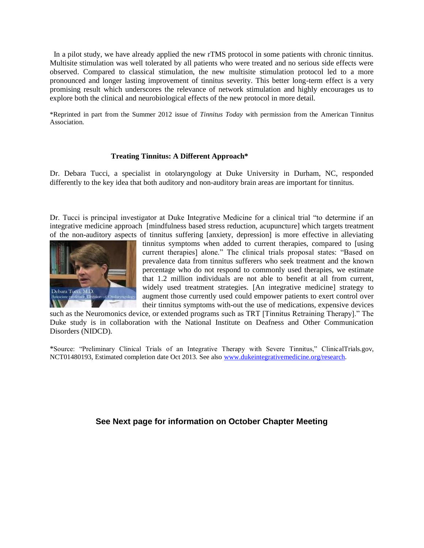In a pilot study, we have already applied the new rTMS protocol in some patients with chronic tinnitus. Multisite stimulation was well tolerated by all patients who were treated and no serious side effects were observed. Compared to classical stimulation, the new multisite stimulation protocol led to a more pronounced and longer lasting improvement of tinnitus severity. This better long-term effect is a very promising result which underscores the relevance of network stimulation and highly encourages us to explore both the clinical and neurobiological effects of the new protocol in more detail.

\*Reprinted in part from the Summer 2012 issue of *Tinnitus Today* with permission from the American Tinnitus Association.

## **Treating Tinnitus: A Different Approach\***

Dr. Debara Tucci, a specialist in otolaryngology at Duke University in Durham, NC, responded differently to the key idea that both auditory and non-auditory brain areas are important for tinnitus.

Dr. Tucci is principal investigator at Duke Integrative Medicine for a clinical trial "to determine if an integrative medicine approach [mindfulness based stress reduction, acupuncture] which targets treatment of the non-auditory aspects of tinnitus suffering [anxiety, depression] is more effective in alleviating



tinnitus symptoms when added to current therapies, compared to [using current therapies] alone." The clinical trials proposal states: "Based on prevalence data from tinnitus sufferers who seek treatment and the known percentage who do not respond to commonly used therapies, we estimate that 1.2 million individuals are not able to benefit at all from current, widely used treatment strategies. [An integrative medicine] strategy to augment those currently used could empower patients to exert control over their tinnitus symptoms with-out the use of medications, expensive devices

such as the Neuromonics device, or extended programs such as TRT [Tinnitus Retraining Therapy]." The Duke study is in collaboration with the National Institute on Deafness and Other Communication Disorders (NIDCD).

\*Source: "Preliminary Clinical Trials of an Integrative Therapy with Severe Tinnitus," ClinicalTrials.gov, NCT01480193, Estimated completion date Oct 2013. See also www.dukeintegrativemedicine.org/research.

# **See Next page for information on October Chapter Meeting**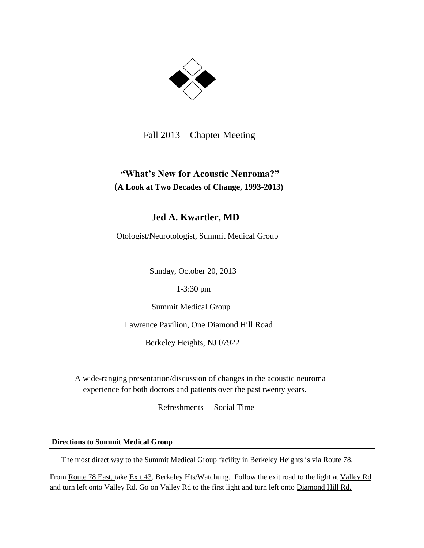

Fall 2013 Chapter Meeting

# **"What's New for Acoustic Neuroma?" (A Look at Two Decades of Change, 1993-2013)**

# **Jed A. Kwartler, MD**

Otologist/Neurotologist, Summit Medical Group

Sunday, October 20, 2013

1-3:30 pm

Summit Medical Group

Lawrence Pavilion, One Diamond Hill Road

Berkeley Heights, NJ 07922

A wide-ranging presentation/discussion of changes in the acoustic neuroma experience for both doctors and patients over the past twenty years.

Refreshments Social Time

# **Directions to Summit Medical Group**

The most direct way to the Summit Medical Group facility in Berkeley Heights is via Route 78.

From Route 78 East, take Exit 43, Berkeley Hts/Watchung. Follow the exit road to the light at Valley Rd and turn left onto Valley Rd. Go on Valley Rd to the first light and turn left onto Diamond Hill Rd.